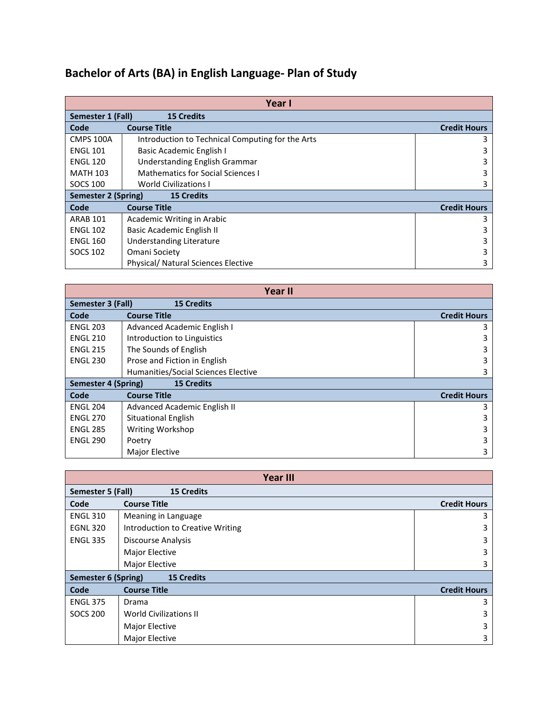## **Bachelor of Arts (BA) in English Language- Plan of Study**

| Year I                                   |                                                  |                     |  |  |
|------------------------------------------|--------------------------------------------------|---------------------|--|--|
| Semester 1 (Fall)                        |                                                  |                     |  |  |
| Code                                     | <b>Course Title</b>                              | <b>Credit Hours</b> |  |  |
| <b>CMPS 100A</b>                         | Introduction to Technical Computing for the Arts | 3                   |  |  |
| <b>ENGL 101</b>                          | Basic Academic English I                         | 3                   |  |  |
| <b>ENGL 120</b>                          | Understanding English Grammar                    | 3                   |  |  |
| <b>MATH 103</b>                          | Mathematics for Social Sciences I                | 3                   |  |  |
| <b>SOCS 100</b>                          | <b>World Civilizations I</b>                     | 3                   |  |  |
| <b>15 Credits</b><br>Semester 2 (Spring) |                                                  |                     |  |  |
| Code                                     | <b>Course Title</b>                              | <b>Credit Hours</b> |  |  |
| <b>ARAB 101</b>                          | Academic Writing in Arabic                       | 3                   |  |  |
| <b>ENGL 102</b>                          | Basic Academic English II                        | 3                   |  |  |
| <b>ENGL 160</b>                          | Understanding Literature                         | 3                   |  |  |
| <b>SOCS 102</b>                          | Omani Society                                    | 3                   |  |  |
|                                          | Physical/ Natural Sciences Elective              | 3                   |  |  |

| <b>Year II</b>                           |                                     |                     |  |  |
|------------------------------------------|-------------------------------------|---------------------|--|--|
| Semester 3 (Fall)<br><b>15 Credits</b>   |                                     |                     |  |  |
| Code                                     | <b>Course Title</b>                 | <b>Credit Hours</b> |  |  |
| <b>ENGL 203</b>                          | Advanced Academic English I         | 3                   |  |  |
| <b>ENGL 210</b>                          | Introduction to Linguistics         | 3                   |  |  |
| <b>ENGL 215</b>                          | The Sounds of English               | 3                   |  |  |
| <b>ENGL 230</b>                          | Prose and Fiction in English        | 3                   |  |  |
|                                          | Humanities/Social Sciences Elective | 3                   |  |  |
| Semester 4 (Spring)<br><b>15 Credits</b> |                                     |                     |  |  |
| Code                                     | <b>Course Title</b>                 | <b>Credit Hours</b> |  |  |
| <b>ENGL 204</b>                          | Advanced Academic English II        | 3                   |  |  |
| <b>ENGL 270</b>                          | Situational English                 | 3                   |  |  |
| <b>ENGL 285</b>                          | Writing Workshop                    | 3                   |  |  |
| <b>ENGL 290</b>                          | Poetry                              |                     |  |  |
|                                          | Major Elective                      | 3                   |  |  |

| <b>Year III</b>                                 |                                  |                     |  |  |
|-------------------------------------------------|----------------------------------|---------------------|--|--|
| <b>15 Credits</b><br>Semester 5 (Fall)          |                                  |                     |  |  |
| Code                                            | <b>Course Title</b>              | <b>Credit Hours</b> |  |  |
| <b>ENGL 310</b>                                 | Meaning in Language              | 3                   |  |  |
| <b>EGNL 320</b>                                 | Introduction to Creative Writing | 3                   |  |  |
| <b>ENGL 335</b>                                 | Discourse Analysis               | 3                   |  |  |
|                                                 | <b>Major Elective</b>            | 3                   |  |  |
|                                                 | Major Elective                   | 3                   |  |  |
| <b>Semester 6 (Spring)</b><br><b>15 Credits</b> |                                  |                     |  |  |
| Code                                            | <b>Course Title</b>              | <b>Credit Hours</b> |  |  |
| <b>ENGL 375</b>                                 | Drama                            | 3                   |  |  |
| <b>SOCS 200</b>                                 | <b>World Civilizations II</b>    | 3                   |  |  |
|                                                 | Major Elective                   | 3                   |  |  |
|                                                 | <b>Major Elective</b>            | 3                   |  |  |